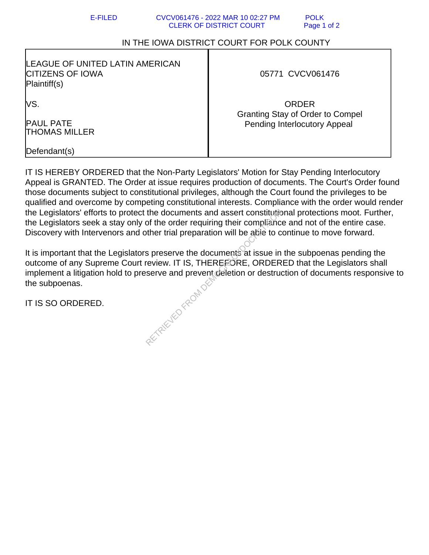## IN THE IOWA DISTRICT COURT FOR POLK COUNTY

| <b>LEAGUE OF UNITED LATIN AMERICAN</b><br><b>CITIZENS OF IOWA</b><br>Plaintiff(s) | 05771 CVCV061476                                                               |
|-----------------------------------------------------------------------------------|--------------------------------------------------------------------------------|
| lVS.                                                                              | <b>ORDER</b>                                                                   |
| <b>PAUL PATE</b><br><b>THOMAS MILLER</b>                                          | <b>Granting Stay of Order to Compel</b><br><b>Pending Interlocutory Appeal</b> |
| Defendant(s)                                                                      |                                                                                |

IT IS HEREBY ORDERED that the Non-Party Legislators' Motion for Stay Pending Interlocutory Appeal is GRANTED. The Order at issue requires production of documents. The Court's Order found those documents subject to constitutional privileges, although the Court found the privileges to be qualified and overcome by competing constitutional interests. Compliance with the order would render the Legislators' efforts to protect the documents and assert constitutional protections moot. Further, the Legislators seek a stay only of the order requiring their compliance and not of the entire case. Discovery with Intervenors and other trial preparation will be able to continue to move forward.

It is important that the Legislators preserve the documents at issue in the subpoenas pending the outcome of any Supreme Court review. IT IS, THEREFORE, ORDERED that the Legislators shall implement a litigation hold to preserve and prevent deletion or destruction of documents responsive to the subpoenas. RETRIEVED FROM DE

IT IS SO ORDERED.